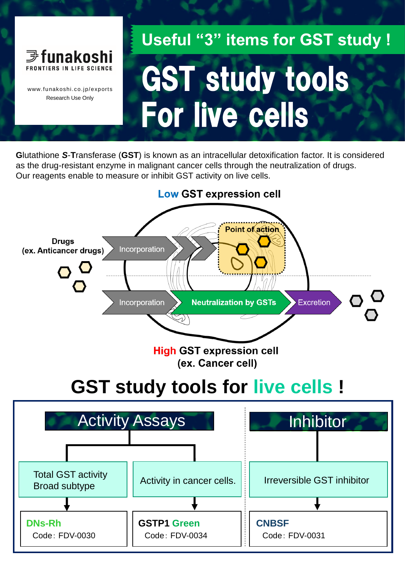

www.funakoshi.co.jp/exports Research Use Only

# GST study tools For live cells **Useful "3" items for GST study !**

**G**lutathione *S*-**T**ransferase (**GST**) is known as an intracellular detoxification factor. It is considered as the drug-resistant enzyme in malignant cancer cells through the neutralization of drugs. Our reagents enable to measure or inhibit GST activity on live cells.